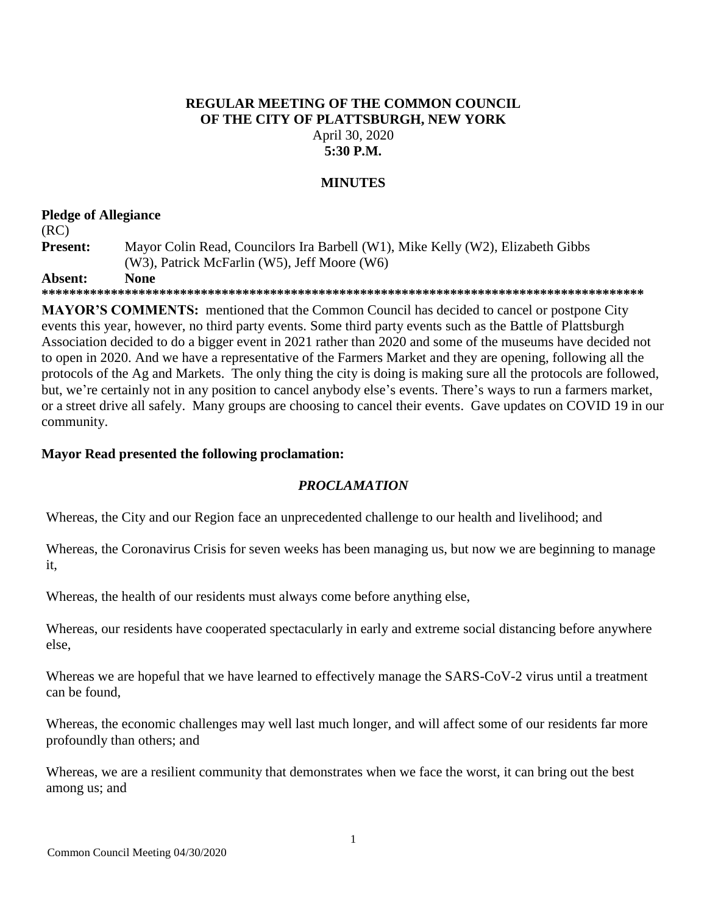## **REGULAR MEETING OF THE COMMON COUNCIL OF THE CITY OF PLATTSBURGH, NEW YORK** April 30, 2020 **5:30 P.M.**

## **MINUTES**

# **Pledge of Allegiance**

# (RC) **Present:** Mayor Colin Read, Councilors Ira Barbell (W1), Mike Kelly (W2), Elizabeth Gibbs (W3), Patrick McFarlin (W5), Jeff Moore (W6)

**Absent: None**

**\*\*\*\*\*\*\*\*\*\*\*\*\*\*\*\*\*\*\*\*\*\*\*\*\*\*\*\*\*\*\*\*\*\*\*\*\*\*\*\*\*\*\*\*\*\*\*\*\*\*\*\*\*\*\*\*\*\*\*\*\*\*\*\*\*\*\*\*\*\*\*\*\*\*\*\*\*\*\*\*\*\*\*\*\*\*\***

**MAYOR'S COMMENTS:** mentioned that the Common Council has decided to cancel or postpone City events this year, however, no third party events. Some third party events such as the Battle of Plattsburgh Association decided to do a bigger event in 2021 rather than 2020 and some of the museums have decided not to open in 2020. And we have a representative of the Farmers Market and they are opening, following all the protocols of the Ag and Markets. The only thing the city is doing is making sure all the protocols are followed, but, we're certainly not in any position to cancel anybody else's events. There's ways to run a farmers market, or a street drive all safely. Many groups are choosing to cancel their events. Gave updates on COVID 19 in our community.

## **Mayor Read presented the following proclamation:**

## *PROCLAMATION*

Whereas, the City and our Region face an unprecedented challenge to our health and livelihood; and

Whereas, the Coronavirus Crisis for seven weeks has been managing us, but now we are beginning to manage it,

Whereas, the health of our residents must always come before anything else,

Whereas, our residents have cooperated spectacularly in early and extreme social distancing before anywhere else,

Whereas we are hopeful that we have learned to effectively manage the SARS-CoV-2 virus until a treatment can be found,

Whereas, the economic challenges may well last much longer, and will affect some of our residents far more profoundly than others; and

Whereas, we are a resilient community that demonstrates when we face the worst, it can bring out the best among us; and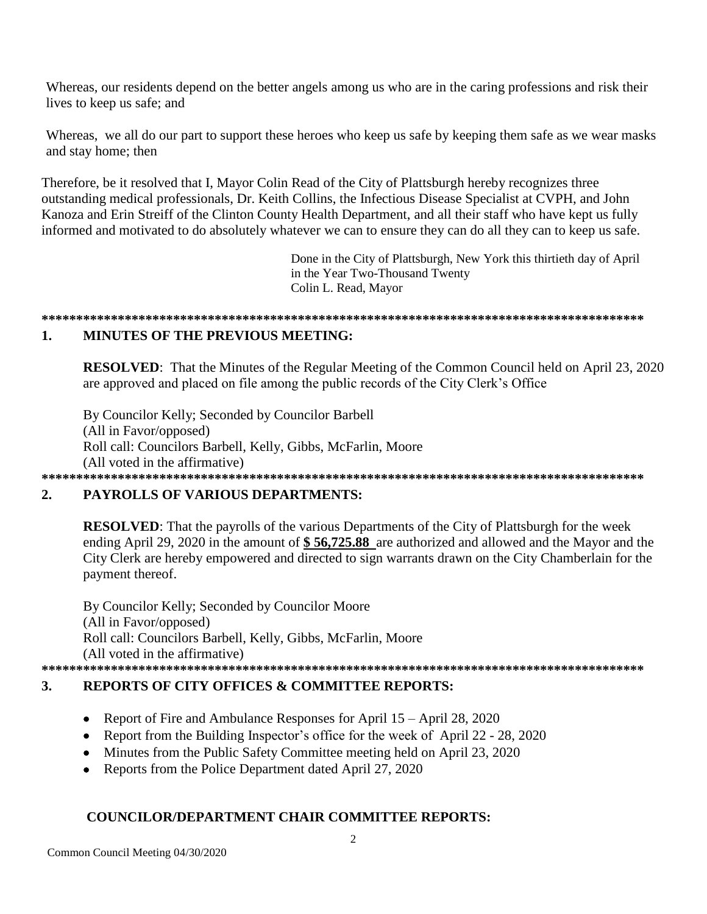Whereas, our residents depend on the better angels among us who are in the caring professions and risk their lives to keep us safe; and

Whereas, we all do our part to support these heroes who keep us safe by keeping them safe as we wear masks and stay home; then

Therefore, be it resolved that I, Mayor Colin Read of the City of Plattsburgh hereby recognizes three outstanding medical professionals, Dr. Keith Collins, the Infectious Disease Specialist at CVPH, and John Kanoza and Erin Streiff of the Clinton County Health Department, and all their staff who have kept us fully informed and motivated to do absolutely whatever we can to ensure they can do all they can to keep us safe.

> Done in the City of Plattsburgh, New York this thirtieth day of April in the Year Two-Thousand Twenty Colin L. Read, Mayor

### $\mathbf{1}$ . **MINITES OF THE PREVIOUS MEETING:**

**RESOLVED:** That the Minutes of the Regular Meeting of the Common Council held on April 23, 2020 are approved and placed on file among the public records of the City Clerk's Office

By Councilor Kelly; Seconded by Councilor Barbell (All in Favor/opposed) Roll call: Councilors Barbell, Kelly, Gibbs, McFarlin, Moore (All voted in the affirmative) 

### $2.$ **PAYROLLS OF VARIOUS DEPARTMENTS:**

**RESOLVED:** That the payrolls of the various Departments of the City of Plattsburgh for the week ending April 29, 2020 in the amount of \$56,725.88 are authorized and allowed and the Mayor and the City Clerk are hereby empowered and directed to sign warrants drawn on the City Chamberlain for the payment thereof.

By Councilor Kelly; Seconded by Councilor Moore (All in Favor/opposed) Roll call: Councilors Barbell, Kelly, Gibbs, McFarlin, Moore (All voted in the affirmative) 

### $3.$ **REPORTS OF CITY OFFICES & COMMITTEE REPORTS:**

- Report of Fire and Ambulance Responses for April  $15 -$ April 28, 2020
- Report from the Building Inspector's office for the week of April 22 28, 2020
- Minutes from the Public Safety Committee meeting held on April 23, 2020
- Reports from the Police Department dated April 27, 2020

## **COUNCILOR/DEPARTMENT CHAIR COMMITTEE REPORTS:**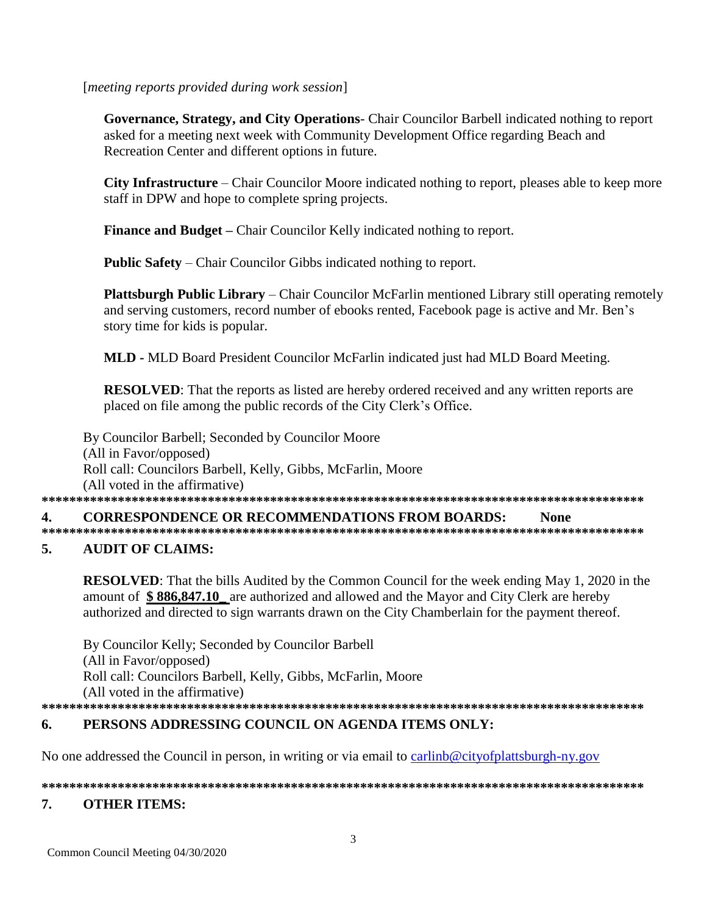## [meeting reports provided during work session]

Governance, Strategy, and City Operations- Chair Councilor Barbell indicated nothing to report asked for a meeting next week with Community Development Office regarding Beach and Recreation Center and different options in future.

**City Infrastructure** – Chair Councilor Moore indicated nothing to report, pleases able to keep more staff in DPW and hope to complete spring projects.

**Finance and Budget – Chair Councilor Kelly indicated nothing to report.** 

**Public Safety** – Chair Councilor Gibbs indicated nothing to report.

Plattsburgh Public Library – Chair Councilor McFarlin mentioned Library still operating remotely and serving customers, record number of ebooks rented, Facebook page is active and Mr. Ben's story time for kids is popular.

MLD - MLD Board President Councilor McFarlin indicated just had MLD Board Meeting.

**RESOLVED:** That the reports as listed are hereby ordered received and any written reports are placed on file among the public records of the City Clerk's Office.

By Councilor Barbell; Seconded by Councilor Moore (All in Favor/opposed) Roll call: Councilors Barbell, Kelly, Gibbs, McFarlin, Moore (All voted in the affirmative) 

#### 4. **CORRESPONDENCE OR RECOMMENDATIONS FROM BOARDS: None**

### 5. **AUDIT OF CLAIMS:**

**RESOLVED:** That the bills Audited by the Common Council for the week ending May 1, 2020 in the amount of \$886,847.10 are authorized and allowed and the Mayor and City Clerk are hereby authorized and directed to sign warrants drawn on the City Chamberlain for the payment thereof.

By Councilor Kelly; Seconded by Councilor Barbell (All in Favor/opposed) Roll call: Councilors Barbell, Kelly, Gibbs, McFarlin, Moore (All voted in the affirmative) 

### PERSONS ADDRESSING COUNCIL ON AGENDA ITEMS ONLY: 6.

No one addressed the Council in person, in writing or via email to carlinb@cityofplattsburgh-ny.gov

### 7. **OTHER ITEMS:**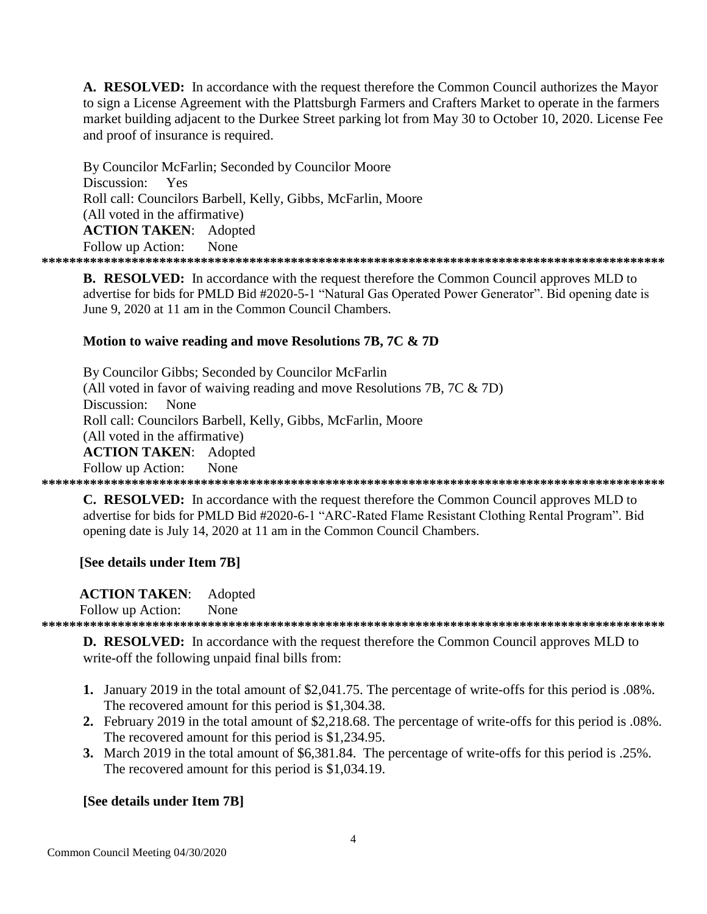A. RESOLVED: In accordance with the request therefore the Common Council authorizes the Mayor to sign a License Agreement with the Plattsburgh Farmers and Crafters Market to operate in the farmers market building adjacent to the Durkee Street parking lot from May 30 to October 10, 2020. License Fee and proof of insurance is required.

By Councilor McFarlin; Seconded by Councilor Moore Discussion: Yes Roll call: Councilors Barbell, Kelly, Gibbs, McFarlin, Moore (All voted in the affirmative) **ACTION TAKEN: Adopted** Follow up Action: None 

**B. RESOLVED:** In accordance with the request therefore the Common Council approves MLD to advertise for bids for PMLD Bid #2020-5-1 "Natural Gas Operated Power Generator". Bid opening date is June 9, 2020 at 11 am in the Common Council Chambers.

## Motion to waive reading and move Resolutions 7B, 7C & 7D

By Councilor Gibbs; Seconded by Councilor McFarlin (All voted in favor of waiving reading and move Resolutions 7B,  $7C \& 7D$ ) Discussion: None Roll call: Councilors Barbell, Kelly, Gibbs, McFarlin, Moore (All voted in the affirmative) **ACTION TAKEN: Adopted** Follow up Action: None 

**C. RESOLVED:** In accordance with the request therefore the Common Council approves MLD to advertise for bids for PMLD Bid #2020-6-1 "ARC-Rated Flame Resistant Clothing Rental Program". Bid opening date is July 14, 2020 at 11 am in the Common Council Chambers.

## [See details under Item 7B]

**ACTION TAKEN:** Adopted

Follow up Action: **None** 

**D. RESOLVED:** In accordance with the request therefore the Common Council approves MLD to write-off the following unpaid final bills from:

- 1. January 2019 in the total amount of \$2,041.75. The percentage of write-offs for this period is .08%. The recovered amount for this period is \$1,304.38.
- 2. February 2019 in the total amount of \$2,218.68. The percentage of write-offs for this period is .08%. The recovered amount for this period is \$1,234.95.
- 3. March 2019 in the total amount of \$6,381.84. The percentage of write-offs for this period is .25%. The recovered amount for this period is \$1,034.19.

## [See details under Item 7B]